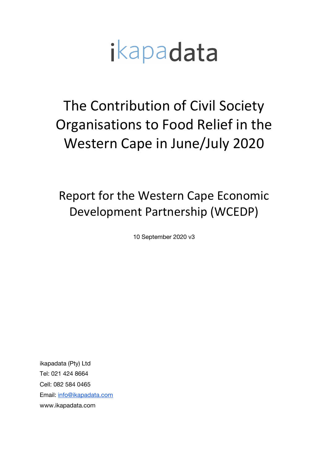# ikapadata

The Contribution of Civil Society Organisations to Food Relief in the Western Cape in June/July 2020

Report for the Western Cape Economic Development Partnership (WCEDP)

10 September 2020 v3

ikapadata (Pty) Ltd Tel: 021 424 8664 Cell: 082 584 0465 Email: info@ikapadata.com www.ikapadata.com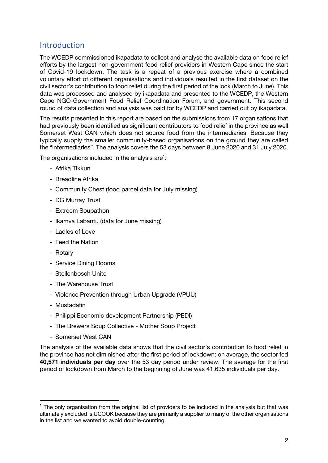# Introduction

The WCEDP commissioned ikapadata to collect and analyse the available data on food relief efforts by the largest non-government food relief providers in Western Cape since the start of Covid-19 lockdown. The task is a repeat of a previous exercise where a combined voluntary effort of different organisations and individuals resulted in the first dataset on the civil sector's contribution to food relief during the first period of the lock (March to June). This data was processed and analysed by ikapadata and presented to the WCEDP, the Western Cape NGO-Government Food Relief Coordination Forum, and government. This second round of data collection and analysis was paid for by WCEDP and carried out by ikapadata.

The results presented in this report are based on the submissions from 17 organisations that had previously been identified as significant contributors to food relief in the province as well Somerset West CAN which does not source food from the intermediaries. Because they typically supply the smaller community-based organisations on the ground they are called the "intermediaries". The analysis covers the 53 days between 8 June 2020 and 31 July 2020.

The organisations included in the analysis are $^1$ :

- Afrika Tikkun
- Breadline Afrika
- Community Chest (food parcel data for July missing)
- DG Murray Trust
- Extreem Soupathon
- Ikamva Labantu (data for June missing)
- Ladles of Love
- Feed the Nation
- Rotary
- Service Dining Rooms
- Stellenbosch Unite
- The Warehouse Trust
- Violence Prevention through Urban Upgrade (VPUU)
- Mustadafin
- Philippi Economic development Partnership (PEDI)
- The Brewers Soup Collective Mother Soup Project
- Somerset West CAN

The analysis of the available data shows that the civil sector's contribution to food relief in the province has not diminished after the first period of lockdown: on average, the sector fed **40,571 individuals per day** over the 53 day period under review. The average for the first period of lockdown from March to the beginning of June was 41,635 individuals per day.

 $<sup>1</sup>$  The only organisation from the original list of providers to be included in the analysis but that was</sup> ultimately excluded is UCOOK because they are primarily a supplier to many of the other organisations in the list and we wanted to avoid double-counting.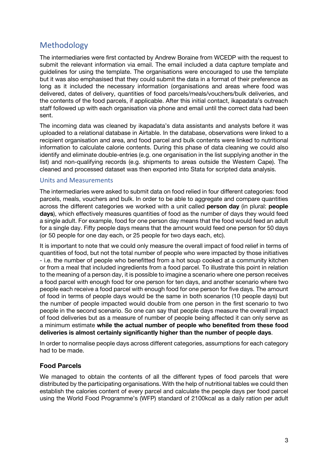# Methodology

The intermediaries were first contacted by Andrew Boraine from WCEDP with the request to submit the relevant information via email. The email included a data capture template and guidelines for using the template. The organisations were encouraged to use the template but it was also emphasised that they could submit the data in a format of their preference as long as it included the necessary information (organisations and areas where food was delivered, dates of delivery, quantities of food parcels/meals/vouchers/bulk deliveries, and the contents of the food parcels, if applicable. After this initial contact, ikapadata's outreach staff followed up with each organisation via phone and email until the correct data had been sent.

The incoming data was cleaned by ikapadata's data assistants and analysts before it was uploaded to a relational database in Airtable. In the database, observations were linked to a recipient organisation and area, and food parcel and bulk contents were linked to nutritional information to calculate calorie contents. During this phase of data cleaning we could also identify and eliminate double-entries (e.g. one organisation in the list supplying another in the list) and non-qualifying records (e.g. shipments to areas outside the Western Cape). The cleaned and processed dataset was then exported into Stata for scripted data analysis.

#### Units and Measurements

The intermediaries were asked to submit data on food relied in four different categories: food parcels, meals, vouchers and bulk. In order to be able to aggregate and compare quantities across the different categories we worked with a unit called **person day** (in plural: **people days**), which effectively measures quantities of food as the number of days they would feed a single adult. For example, food for one person day means that the food would feed an adult for a single day. Fifty people days means that the amount would feed one person for 50 days (or 50 people for one day each, or 25 people for two days each, etc).

It is important to note that we could only measure the overall impact of food relief in terms of quantities of food, but not the total number of people who were impacted by those initiatives - i.e. the number of people who benefitted from a hot soup cooked at a community kitchen or from a meal that included ingredients from a food parcel. To illustrate this point in relation to the meaning of a person day, it is possible to imagine a scenario where one person receives a food parcel with enough food for one person for ten days, and another scenario where two people each receive a food parcel with enough food for one person for five days. The amount of food in terms of people days would be the same in both scenarios (10 people days) but the number of people impacted would double from one person in the first scenario to two people in the second scenario. So one can say that people days measure the overall impact of food deliveries but as a measure of number of people being affected it can only serve as a minimum estimate **while the actual number of people who benefited from these food deliveries is almost certainly significantly higher than the number of people days**.

In order to normalise people days across different categories, assumptions for each category had to be made.

#### **Food Parcels**

We managed to obtain the contents of all the different types of food parcels that were distributed by the participating organisations. With the help of nutritional tables we could then establish the calories content of every parcel and calculate the people days per food parcel using the World Food Programme's (WFP) standard of 2100kcal as a daily ration per adult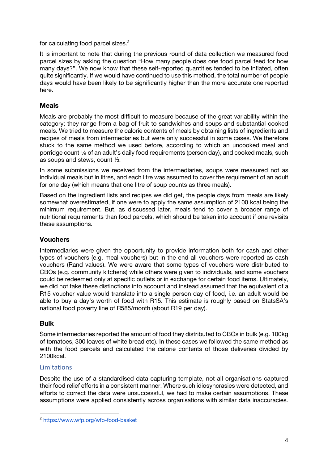for calculating food parcel sizes.<sup>2</sup>

It is important to note that during the previous round of data collection we measured food parcel sizes by asking the question "How many people does one food parcel feed for how many days?". We now know that these self-reported quantities tended to be inflated, often quite significantly. If we would have continued to use this method, the total number of people days would have been likely to be significantly higher than the more accurate one reported here.

## **Meals**

Meals are probably the most difficult to measure because of the great variability within the category; they range from a bag of fruit to sandwiches and soups and substantial cooked meals. We tried to measure the calorie contents of meals by obtaining lists of ingredients and recipes of meals from intermediaries but were only successful in some cases. We therefore stuck to the same method we used before, according to which an uncooked meal and porridge count ⅙ of an adult's daily food requirements (person day), and cooked meals, such as soups and stews, count ⅓.

In some submissions we received from the intermediaries, soups were measured not as individual meals but in litres, and each litre was assumed to cover the requirement of an adult for one day (which means that one litre of soup counts as three meals).

Based on the ingredient lists and recipes we did get, the people days from meals are likely somewhat overestimated, if one were to apply the same assumption of 2100 kcal being the minimum requirement. But, as discussed later, meals tend to cover a broader range of nutritional requirements than food parcels, which should be taken into account if one revisits these assumptions.

## **Vouchers**

Intermediaries were given the opportunity to provide information both for cash and other types of vouchers (e.g. meal vouchers) but in the end all vouchers were reported as cash vouchers (Rand values). We were aware that some types of vouchers were distributed to CBOs (e.g. community kitchens) while others were given to individuals, and some vouchers could be redeemed only at specific outlets or in exchange for certain food items. Ultimately, we did not take these distinctions into account and instead assumed that the equivalent of a R15 voucher value would translate into a single person day of food, i.e. an adult would be able to buy a day's worth of food with R15. This estimate is roughly based on StatsSA's national food poverty line of R585/month (about R19 per day).

## **Bulk**

Some intermediaries reported the amount of food they distributed to CBOs in bulk (e.g. 100kg of tomatoes, 300 loaves of white bread etc). In these cases we followed the same method as with the food parcels and calculated the calorie contents of those deliveries divided by 2100kcal.

#### **Limitations**

Despite the use of a standardised data capturing template, not all organisations captured their food relief efforts in a consistent manner. Where such idiosyncrasies were detected, and efforts to correct the data were unsuccessful, we had to make certain assumptions. These assumptions were applied consistently across organisations with similar data inaccuracies.

<sup>2</sup> https://www.wfp.org/wfp-food-basket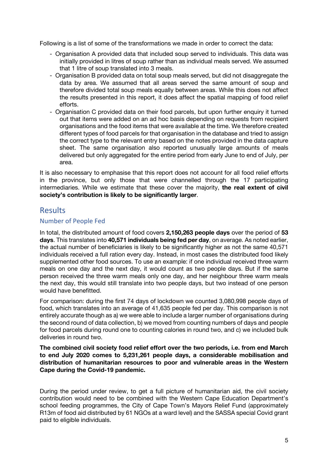Following is a list of some of the transformations we made in order to correct the data:

- Organisation A provided data that included soup served to individuals. This data was initially provided in litres of soup rather than as individual meals served. We assumed that 1 litre of soup translated into 3 meals.
- Organisation B provided data on total soup meals served, but did not disaggregate the data by area. We assumed that all areas served the same amount of soup and therefore divided total soup meals equally between areas. While this does not affect the results presented in this report, it does affect the spatial mapping of food relief efforts.
- Organisation C provided data on their food parcels, but upon further enquiry it turned out that items were added on an ad hoc basis depending on requests from recipient organisations and the food items that were available at the time. We therefore created different types of food parcels for that organisation in the database and tried to assign the correct type to the relevant entry based on the notes provided in the data capture sheet. The same organisation also reported unusually large amounts of meals delivered but only aggregated for the entire period from early June to end of July, per area.

It is also necessary to emphasise that this report does not account for all food relief efforts in the province, but only those that were channelled through the 17 participating intermediaries. While we estimate that these cover the majority, **the real extent of civil society's contribution is likely to be significantly larger**.

# Results

#### Number of People Fed

In total, the distributed amount of food covers **2,150,263 people days** over the period of **53 days**. This translates into **40,571 individuals being fed per day**, on average. As noted earlier, the actual number of beneficiaries is likely to be significantly higher as not the same 40,571 individuals received a full ration every day. Instead, in most cases the distributed food likely supplemented other food sources. To use an example: if one individual received three warm meals on one day and the next day, it would count as two people days. But if the same person received the three warm meals only one day, and her neighbour three warm meals the next day, this would still translate into two people days, but two instead of one person would have benefitted.

For comparison: during the first 74 days of lockdown we counted 3,080,998 people days of food, which translates into an average of 41,635 people fed per day. This comparison is not entirely accurate though as a) we were able to include a larger number of organisations during the second round of data collection, b) we moved from counting numbers of days and people for food parcels during round one to counting calories in round two, and c) we included bulk deliveries in round two.

**The combined civil society food relief effort over the two periods, i.e. from end March to end July 2020 comes to 5,231,261 people days, a considerable mobilisation and distribution of humanitarian resources to poor and vulnerable areas in the Western Cape during the Covid-19 pandemic.**

During the period under review, to get a full picture of humanitarian aid, the civil society contribution would need to be combined with the Western Cape Education Department's school feeding programmes, the City of Cape Town's Mayors Relief Fund (approximately R13m of food aid distributed by 61 NGOs at a ward level) and the SASSA special Covid grant paid to eligible individuals.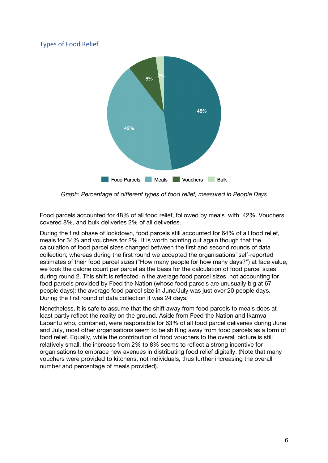## Types of Food Relief



*Graph: Percentage of different types of food relief, measured in People Days*

Food parcels accounted for 48% of all food relief, followed by meals with 42%. Vouchers covered 8%, and bulk deliveries 2% of all deliveries.

During the first phase of lockdown, food parcels still accounted for 64% of all food relief, meals for 34% and vouchers for 2%. It is worth pointing out again though that the calculation of food parcel sizes changed between the first and second rounds of data collection; whereas during the first round we accepted the organisations' self-reported estimates of their food parcel sizes ("How many people for how many days?") at face value, we took the calorie count per parcel as the basis for the calculation of food parcel sizes during round 2. This shift is reflected in the average food parcel sizes, not accounting for food parcels provided by Feed the Nation (whose food parcels are unusually big at 67 people days): the average food parcel size in June/July was just over 20 people days. During the first round of data collection it was 24 days.

Nonetheless, it is safe to assume that the shift away from food parcels to meals does at least partly reflect the reality on the ground. Aside from Feed the Nation and Ikamva Labantu who, combined, were responsible for 63% of all food parcel deliveries during June and July, most other organisations seem to be shifting away from food parcels as a form of food relief. Equally, while the contribution of food vouchers to the overall picture is still relatively small, the increase from 2% to 8% seems to reflect a strong incentive for organisations to embrace new avenues in distributing food relief digitally. (Note that many vouchers were provided to kitchens, not individuals, thus further increasing the overall number and percentage of meals provided).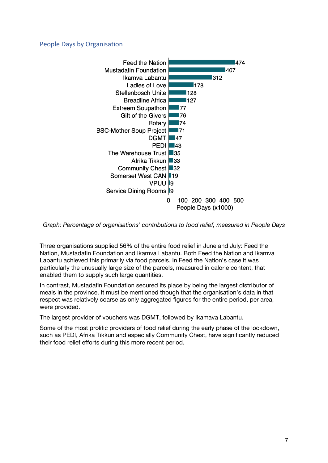#### People Days by Organisation



*Graph: Percentage of organisations' contributions to food relief, measured in People Days*

Three organisations supplied 56% of the entire food relief in June and July: Feed the Nation, Mustadafin Foundation and Ikamva Labantu. Both Feed the Nation and Ikamva Labantu achieved this primarily via food parcels. In Feed the Nation's case it was particularly the unusually large size of the parcels, measured in calorie content, that enabled them to supply such large quantities.

In contrast, Mustadafin Foundation secured its place by being the largest distributor of meals in the province. It must be mentioned though that the organisation's data in that respect was relatively coarse as only aggregated figures for the entire period, per area, were provided.

The largest provider of vouchers was DGMT, followed by Ikamava Labantu.

Some of the most prolific providers of food relief during the early phase of the lockdown, such as PEDI, Afrika Tikkun and especially Community Chest, have significantly reduced their food relief efforts during this more recent period.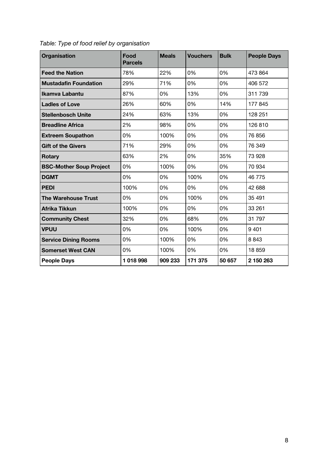| <b>Organisation</b>            | Food<br><b>Parcels</b> | <b>Meals</b> | <b>Vouchers</b> | <b>Bulk</b> | <b>People Days</b> |
|--------------------------------|------------------------|--------------|-----------------|-------------|--------------------|
| <b>Feed the Nation</b>         | 78%                    | 22%          | 0%              | 0%          | 473 864            |
| <b>Mustadafin Foundation</b>   | 29%                    | 71%          | 0%              | 0%          | 406 572            |
| <b>Ikamva Labantu</b>          | 87%                    | 0%           | 13%             | 0%          | 311 739            |
| <b>Ladles of Love</b>          | 26%                    | 60%          | 0%              | 14%         | 177 845            |
| <b>Stellenbosch Unite</b>      | 24%                    | 63%          | 13%             | 0%          | 128 251            |
| <b>Breadline Africa</b>        | 2%                     | 98%          | 0%              | 0%          | 126810             |
| <b>Extreem Soupathon</b>       | 0%                     | 100%         | 0%              | 0%          | 76 856             |
| <b>Gift of the Givers</b>      | 71%                    | 29%          | 0%              | 0%          | 76 349             |
| <b>Rotary</b>                  | 63%                    | 2%           | 0%              | 35%         | 73 928             |
| <b>BSC-Mother Soup Project</b> | 0%                     | 100%         | 0%              | 0%          | 70 934             |
| <b>DGMT</b>                    | 0%                     | 0%           | 100%            | 0%          | 46775              |
| <b>PEDI</b>                    | 100%                   | 0%           | 0%              | 0%          | 42 688             |
| <b>The Warehouse Trust</b>     | 0%                     | 0%           | 100%            | 0%          | 35 491             |
| Afrika Tikkun                  | 100%                   | 0%           | 0%              | 0%          | 33 261             |
| <b>Community Chest</b>         | 32%                    | 0%           | 68%             | 0%          | 31 797             |
| <b>VPUU</b>                    | 0%                     | 0%           | 100%            | 0%          | 9 4 0 1            |
| <b>Service Dining Rooms</b>    | 0%                     | 100%         | 0%              | 0%          | 8843               |
| <b>Somerset West CAN</b>       | 0%                     | 100%         | 0%              | 0%          | 18859              |
| <b>People Days</b>             | 1018998                | 909 233      | 171 375         | 50 657      | 2 150 263          |

*Table: Type of food relief by organisation*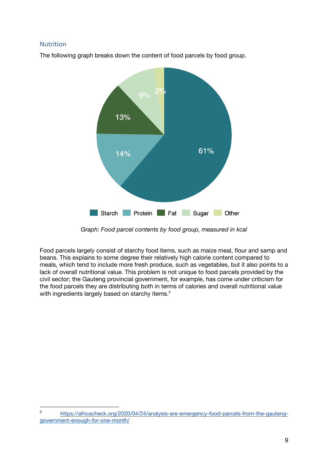#### Nutrition

The following graph breaks down the content of food parcels by food group.



*Graph: Food parcel contents by food group, measured in kcal*

Food parcels largely consist of starchy food items, such as maize meal, flour and samp and beans. This explains to some degree their relatively high calorie content compared to meals, which tend to include more fresh produce, such as vegetables, but it also points to a lack of overall nutritional value. This problem is not unique to food parcels provided by the civil sector; the Gauteng provincial government, for example, has come under criticism for the food parcels they are distributing both in terms of calories and overall nutritional value with ingredients largely based on starchy items.<sup>3</sup>

<sup>3</sup> https://africacheck.org/2020/04/24/analysis-are-emergency-food-parcels-from-the-gautenggovernment-enough-for-one-month/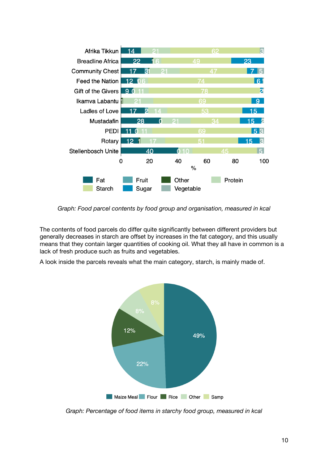

*Graph: Food parcel contents by food group and organisation, measured in kcal*

The contents of food parcels do differ quite significantly between different providers but generally decreases in starch are offset by increases in the fat category, and this usually means that they contain larger quantities of cooking oil. What they all have in common is a lack of fresh produce such as fruits and vegetables.

A look inside the parcels reveals what the main category, starch, is mainly made of.



*Graph: Percentage of food items in starchy food group, measured in kcal*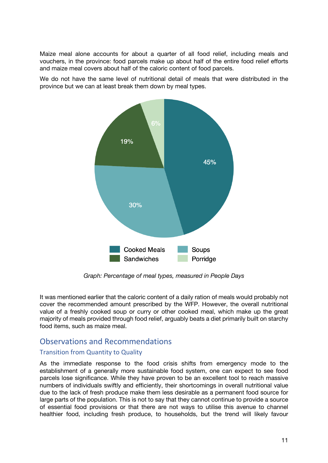Maize meal alone accounts for about a quarter of all food relief, including meals and vouchers, in the province: food parcels make up about half of the entire food relief efforts and maize meal covers about half of the caloric content of food parcels.

We do not have the same level of nutritional detail of meals that were distributed in the province but we can at least break them down by meal types.



*Graph: Percentage of meal types, measured in People Days*

It was mentioned earlier that the caloric content of a daily ration of meals would probably not cover the recommended amount prescribed by the WFP. However, the overall nutritional value of a freshly cooked soup or curry or other cooked meal, which make up the great majority of meals provided through food relief, arguably beats a diet primarily built on starchy food items, such as maize meal.

# Observations and Recommendations

#### Transition from Quantity to Quality

As the immediate response to the food crisis shifts from emergency mode to the establishment of a generally more sustainable food system, one can expect to see food parcels lose significance. While they have proven to be an excellent tool to reach massive numbers of individuals swiftly and efficiently, their shortcomings in overall nutritional value due to the lack of fresh produce make them less desirable as a permanent food source for large parts of the population. This is not to say that they cannot continue to provide a source of essential food provisions or that there are not ways to utilise this avenue to channel healthier food, including fresh produce, to households, but the trend will likely favour